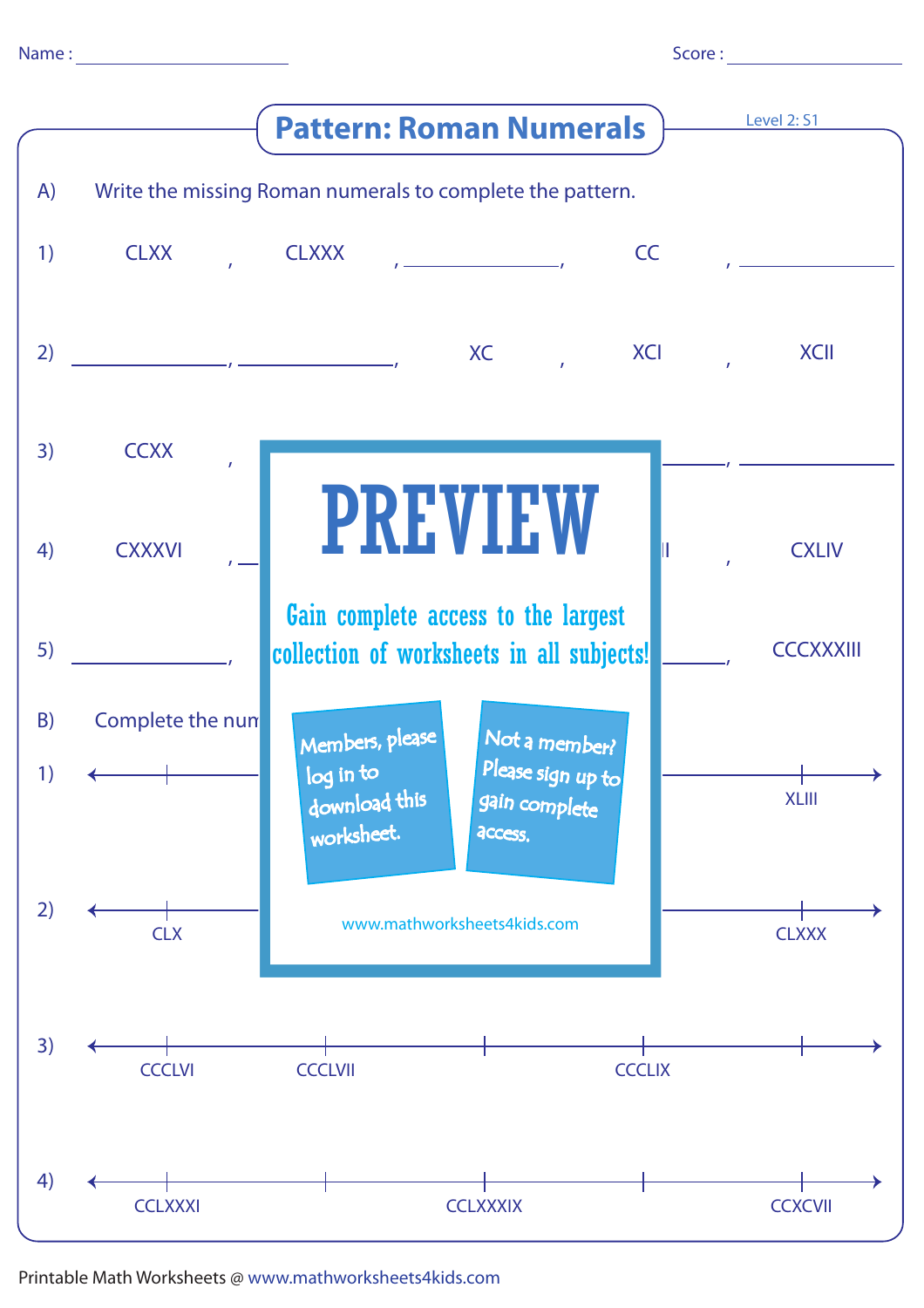